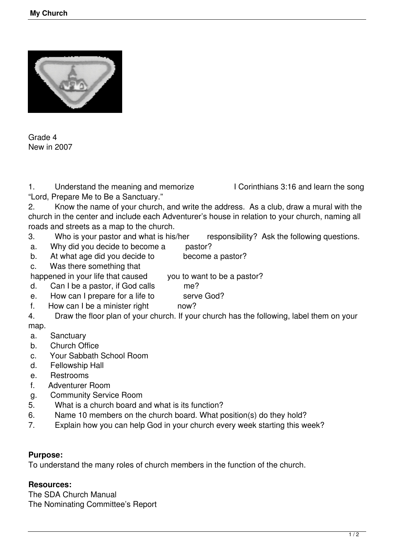

Grade 4 New in 2007

1. Understand the meaning and memorize **I** Corinthians 3:16 and learn the song

"Lord, Prepare Me to Be a Sanctuary."

2. Know the name of your church, and write the address. As a club, draw a mural with the church in the center and include each Adventurer's house in relation to your church, naming all

roads and streets as a map to the church.<br>3. Who is your pastor and what is his/her 3. Who is your pastor and what is his/her responsibility? Ask the following questions.

- a. Why did you decide to become a pastor?
- b. At what age did you decide to become a pastor?
- c. Was there something that
- happened in your life that caused you to want to be a pastor?<br>d. Can I be a pastor, if God calls me?
- $d.$  Can I be a pastor, if God calls
- e. How can I prepare for a life to serve God?<br>f. How can I be a minister right mow?
- f. How can I be a minister right  $\frac{1}{4}$  Draw the floor plan of your  $\frac{1}{4}$

Draw the floor plan of your church. If your church has the following, label them on your map.

- a. Sanctuary
- b. Church Office
- c. Your Sabbath School Room
- d. Fellowship Hall
- e. Restrooms
- f. Adventurer Room
- g. Community Service Room
- 5. What is a church board and what is its function?
- 6. Name 10 members on the church board. What position(s) do they hold?
- 7. Explain how you can help God in your church every week starting this week?

## **Purpose:**

To understand the many roles of church members in the function of the church.

## **Resources:**

The SDA Church Manual The Nominating Committee's Report